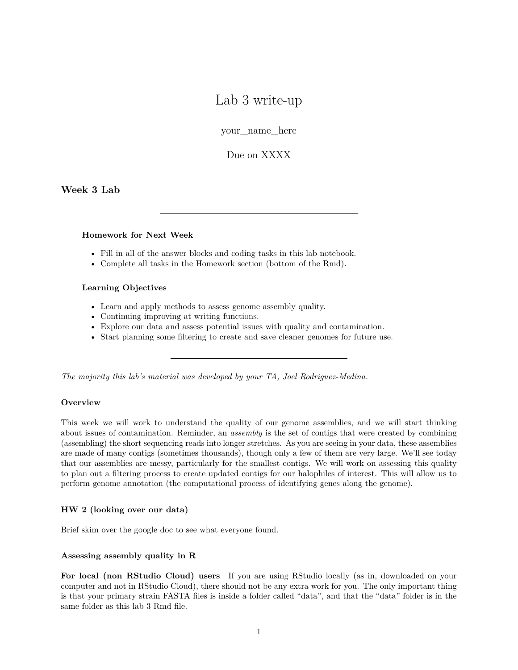# Lab 3 write-up

your\_name\_here

Due on XXXX

**Week 3 Lab**

### **Homework for Next Week**

- Fill in all of the answer blocks and coding tasks in this lab notebook.
- Complete all tasks in the Homework section (bottom of the Rmd).

#### **Learning Objectives**

- Learn and apply methods to assess genome assembly quality.
- Continuing improving at writing functions.
- Explore our data and assess potential issues with quality and contamination.
- Start planning some filtering to create and save cleaner genomes for future use.

*The majority this lab's material was developed by your TA, Joel Rodriguez-Medina.*

# **Overview**

This week we will work to understand the quality of our genome assemblies, and we will start thinking about issues of contamination. Reminder, an *assembly* is the set of contigs that were created by combining (assembling) the short sequencing reads into longer stretches. As you are seeing in your data, these assemblies are made of many contigs (sometimes thousands), though only a few of them are very large. We'll see today that our assemblies are messy, particularly for the smallest contigs. We will work on assessing this quality to plan out a filtering process to create updated contigs for our halophiles of interest. This will allow us to perform genome annotation (the computational process of identifying genes along the genome).

# **HW 2 (looking over our data)**

Brief skim over the google doc to see what everyone found.

#### **Assessing assembly quality in R**

**For local (non RStudio Cloud) users** If you are using RStudio locally (as in, downloaded on your computer and not in RStudio Cloud), there should not be any extra work for you. The only important thing is that your primary strain FASTA files is inside a folder called "data", and that the "data" folder is in the same folder as this lab 3 Rmd file.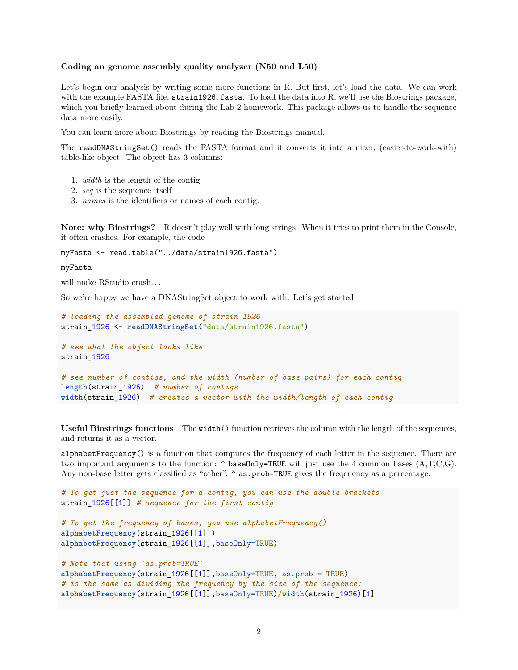#### **Coding an genome assembly quality analyzer (N50 and L50)**

Let's begin our analysis by writing some more functions in R. But first, let's load the data. We can work with the example FASTA file, strain1926.fasta. To load the data into R, we'll use the Biostrings package, which you briefly learned about during the Lab 2 homework. This package allows us to handle the sequence data more easily.

You can learn more about Biostrings by reading the [Biostrings manual.](https://bioconductor.org/packages/release/bioc/vignettes/Biostrings/inst/doc/BiostringsQuickOverview.pdf)

The readDNAStringSet() reads the FASTA format and it converts it into a nicer, (easier-to-work-with) table-like object. The object has 3 columns:

- 1. *width* is the length of the contig
- 2. *seq* is the sequence itself
- 3. *names* is the identifiers or names of each contig.

**Note: why Biostrings?** R doesn't play well with long strings. When it tries to print them in the Console, it often crashes. For example, the code

myFasta <- read.table("../data/strain1926.fasta")

#### myFasta

will make RStudio crash...

So we're happy we have a DNAStringSet object to work with. Let's get started.

```
# loading the assembled genome of strain 1926
strain 1926 <- readDNAStringSet("data/strain1926.fasta")
# see what the object looks like
strain_1926
# see number of contigs, and the width (number of base pairs) for each contig
length(strain_1926) # number of contigs
width(strain_1926) # creates a vector with the width/length of each contig
```
**Useful Biostrings functions** The width() function retrieves the column with the length of the sequences, and returns it as a vector.

alphabetFrequency() is a function that computes the frequency of each letter in the sequence. There are two important arguments to the function: \* baseOnly=TRUE will just use the 4 common bases  $(A, T, C, G)$ . Any non-base letter gets classified as "other". \* as.prob=TRUE gives the frequency as a percentage.

```
# To get just the sequence for a contig, you can use the double brackets
strain_1926[[1]] # sequence for the first contig
# To get the frequency of bases, you use alphabetFrequency()
alphabetFrequency(strain_1926[[1]])
alphabetFrequency(strain_1926[[1]],baseOnly=TRUE)
# Note that using `as.prob=TRUE`
alphabetFrequency(strain_1926[[1]],baseOnly=TRUE, as.prob = TRUE)
# is the same as dividing the frequency by the size of the sequence:
alphabetFrequency(strain_1926[[1]],baseOnly=TRUE)/width(strain_1926)[1]
```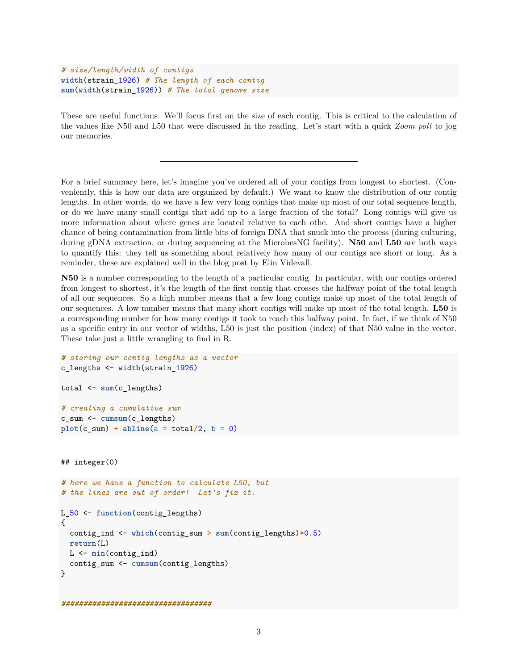```
# size/length/width of contigs
width(strain_1926) # The length of each contig
sum(width(strain_1926)) # The total genome size
```
These are useful functions. We'll focus first on the size of each contig. This is critical to the calculation of the values like N50 and L50 that were discussed in the reading. Let's start with a quick *Zoom poll* to jog our memories.

For a brief summary here, let's imagine you've ordered all of your contigs from longest to shortest. (Conveniently, this is how our data are organized by default.) We want to know the distribution of our contig lengths. In other words, do we have a few very long contigs that make up most of our total sequence length, or do we have many small contigs that add up to a large fraction of the total? Long contigs will give us more information about where genes are located relative to each othe. And short contigs have a higher chance of being contamination from little bits of foreign DNA that snuck into the process (during culturing, during gDNA extraction, or during sequencing at the MicrobesNG facility). **N50** and **L50** are both ways to quantify this: they tell us something about relatively how many of our contigs are short or long. As a reminder, these are explained well in the [blog post](https://www.molecularecologist.com/2017/03/whats-n50/) by Elin Videvall.

**N50** is a number corresponding to the length of a particular contig. In particular, with our contigs ordered from longest to shortest, it's the length of the first contig that crosses the halfway point of the total length of all our sequences. So a high number means that a few long contigs make up most of the total length of our sequences. A low number means that many short contigs will make up most of the total length. **L50** is a corresponding number for how many contigs it took to reach this halfway point. In fact, if we think of N50 as a specific entry in our vector of widths, L50 is just the position (index) of that N50 value in the vector. These take just a little wrangling to find in R.

```
# storing our contig lengths as a vector
c_lengths <- width(strain_1926)
total <- sum(c_lengths)
# creating a cumulative sum
c_sum <- cumsum(c_lengths)
plot(c\_sum) + abline(a = total/2, b = 0)## integer(0)
# here we have a function to calculate L50, but
# the lines are out of order! Let's fix it.
L_50 <- function(contig_lengths)
{
  contig_ind <- which(contig_sum > sum(contig_lengths)*0.5)
 return(L)
 L <- min(contig_ind)
  contig_sum <- cumsum(contig_lengths)
}
##################################
```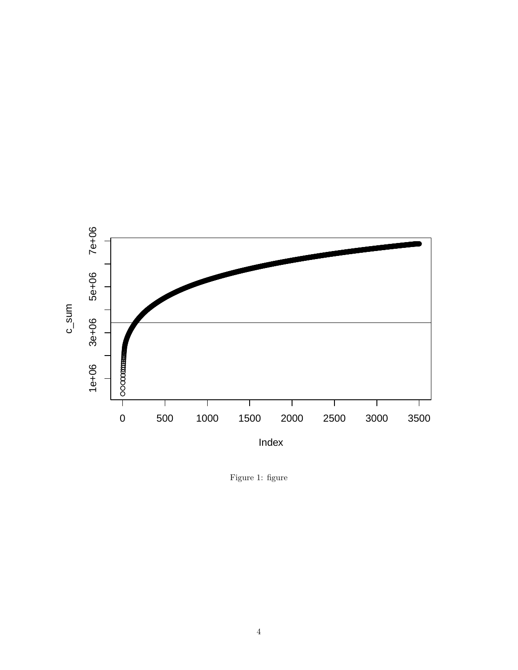

Figure 1: figure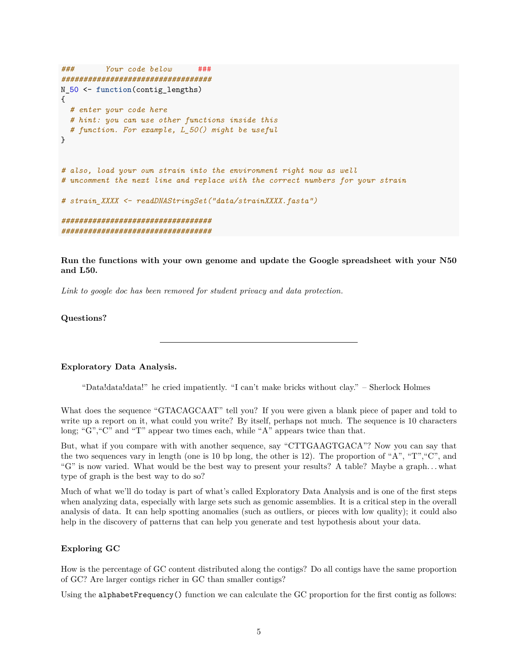```
### Your code below ###
##################################
N_50 <- function(contig_lengths)
{
  # enter your code here
  # hint: you can use other functions inside this
  # function. For example, L_50() might be useful
}
# also, load your own strain into the environment right now as well
# uncomment the next line and replace with the correct numbers for your strain
# strain_XXXX <- readDNAStringSet("data/strainXXXX.fasta")
##################################
##################################
```
**Run the functions with your own genome and update the Google spreadsheet with your N50 and L50.**

*Link to google doc has been removed for student privacy and data protection.*

#### **Questions?**

#### **Exploratory Data Analysis.**

"Data!data!data!" he cried impatiently. "I can't make bricks without clay." – Sherlock Holmes

What does the sequence "GTACAGCAAT" tell you? If you were given a blank piece of paper and told to write up a report on it, what could you write? By itself, perhaps not much. The sequence is 10 characters long; "G", "C" and "T" appear two times each, while "A" appears twice than that.

But, what if you compare with with another sequence, say "CTTGAAGTGACA"? Now you can say that the two sequences vary in length (one is 10 bp long, the other is 12). The proportion of "A", "T", "C", and "G" is now varied. What would be the best way to present your results? A table? Maybe a graph. . . what type of graph is the best way to do so?

Much of what we'll do today is part of what's called Exploratory Data Analysis and is one of the first steps when analyzing data, especially with large sets such as genomic assemblies. It is a critical step in the overall analysis of data. It can help spotting anomalies (such as outliers, or pieces with low quality); it could also help in the discovery of patterns that can help you generate and test hypothesis about your data.

#### **Exploring GC**

How is the percentage of GC content distributed along the contigs? Do all contigs have the same proportion of GC? Are larger contigs richer in GC than smaller contigs?

Using the alphabetFrequency() function we can calculate the GC proportion for the first contig as follows: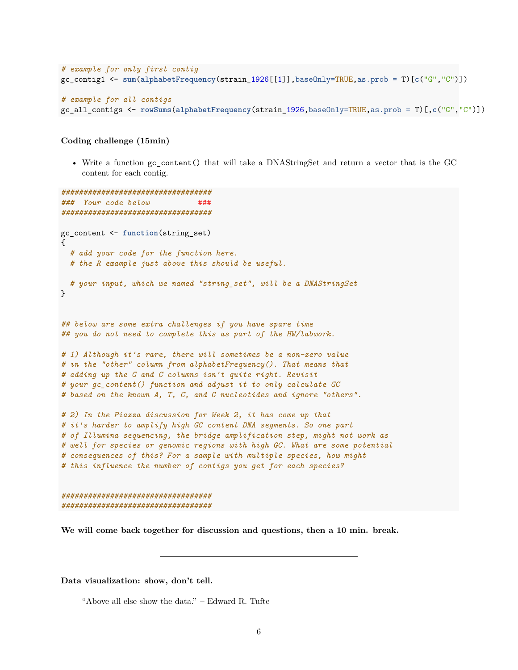```
# example for only first contig
gc_contig1 <- sum(alphabetFrequency(strain_1926[[1]],baseOnly=TRUE,as.prob = T)[c("G","C")])
# example for all contigs
```

```
gc_all_contigs <- rowSums(alphabetFrequency(strain_1926,baseOnly=TRUE,as.prob = T)[,c("G","C")])
```
#### **Coding challenge (15min)**

• Write a function gc\_content() that will take a DNAStringSet and return a vector that is the GC content for each contig.

```
##################################
### Your code below ###
##################################
gc_content <- function(string_set)
{
  # add your code for the function here.
  # the R example just above this should be useful.
  # your input, which we named "string_set", will be a DNAStringSet
}
## below are some extra challenges if you have spare time
## you do not need to complete this as part of the HW/labwork.
# 1) Although it's rare, there will sometimes be a non-zero value
# in the "other" column from alphabetFrequency(). That means that
# adding up the G and C columns isn't quite right. Revisit
# your gc_content() function and adjust it to only calculate GC
# based on the known A, T, C, and G nucleotides and ignore "others".
# 2) In the Piazza discussion for Week 2, it has come up that
# it's harder to amplify high GC content DNA segments. So one part
# of Illumina sequencing, the bridge amplification step, might not work as
# well for species or genomic regions with high GC. What are some potential
# consequences of this? For a sample with multiple species, how might
# this influence the number of contigs you get for each species?
##################################
```
*##################################*

**We will come back together for discussion and questions, then a 10 min. break.**

**Data visualization: show, don't tell.**

"Above all else show the data." – Edward R. Tufte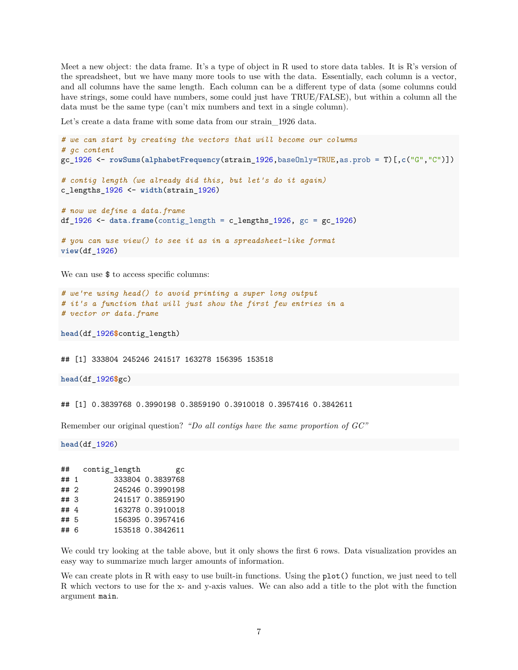Meet a new object: the data frame. It's a type of object in R used to store data tables. It is R's version of the spreadsheet, but we have many more tools to use with the data. Essentially, each column is a vector, and all columns have the same length. Each column can be a different type of data (some columns could have strings, some could have numbers, some could just have TRUE/FALSE), but within a column all the data must be the same type (can't mix numbers and text in a single column).

Let's create a data frame with some data from our strain\_1926 data.

```
# we can start by creating the vectors that will become our columns
# gc content
gc_1926 <- rowSums(alphabetFrequency(strain_1926,baseOnly=TRUE,as.prob = T)[,c("G","C")])
# contig length (we already did this, but let's do it again)
c_lengths_1926 <- width(strain_1926)
# now we define a data.frame
df_1926 <- data.frame(contig_length = c_lengths_1926, gc = gc_1926)
# you can use view() to see it as in a spreadsheet-like format
view(df_1926)
```
We can use  $\$  to access specific columns:

```
# we're using head() to avoid printing a super long output
# it's a function that will just show the first few entries in a
# vector or data.frame
```
**head**(df\_1926**\$**contig\_length)

## [1] 333804 245246 241517 163278 156395 153518

**head**(df\_1926**\$**gc)

## [1] 0.3839768 0.3990198 0.3859190 0.3910018 0.3957416 0.3842611

Remember our original question? *"Do all contigs have the same proportion of GC"*

**head**(df\_1926)

| ##   | contig_length | gс               |
|------|---------------|------------------|
| ## 1 |               | 333804 0.3839768 |
| ## 2 |               | 245246 0.3990198 |
| ##3  |               | 241517 0.3859190 |
| ##4  |               | 163278 0.3910018 |
| ## 5 |               | 156395 0.3957416 |
| ## 6 |               | 153518 0.3842611 |
|      |               |                  |

We could try looking at the table above, but it only shows the first 6 rows. Data visualization provides an easy way to summarize much larger amounts of information.

We can create plots in R with easy to use built-in functions. Using the plot() function, we just need to tell R which vectors to use for the x- and y-axis values. We can also add a title to the plot with the function argument main.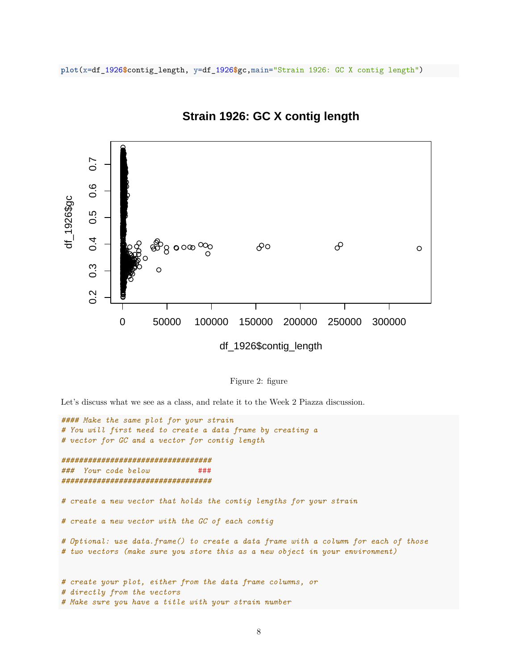

# **Strain 1926: GC X contig length**

Figure 2: figure

Let's discuss what we see as a class, and relate it to the Week 2 Piazza discussion.

```
#### Make the same plot for your strain
# You will first need to create a data frame by creating a
# vector for GC and a vector for contig length
##################################
### Your code below ###
##################################
# create a new vector that holds the contig lengths for your strain
# create a new vector with the GC of each contig
# Optional: use data.frame() to create a data frame with a column for each of those
# two vectors (make sure you store this as a new object in your environment)
# create your plot, either from the data frame columns, or
# directly from the vectors
# Make sure you have a title with your strain number
```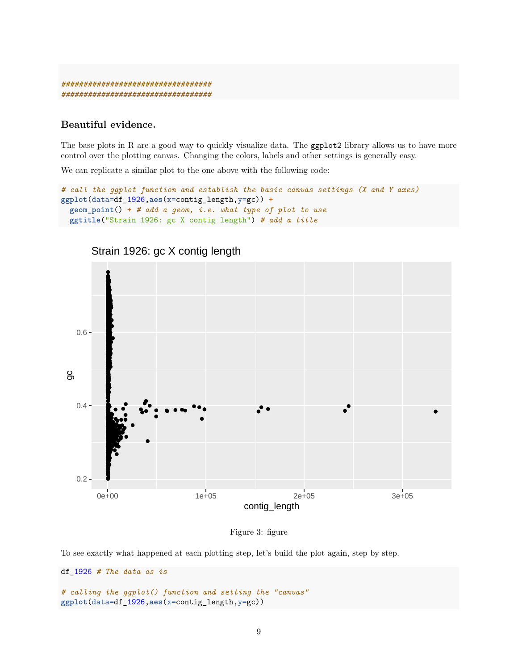*################################## ##################################*

# **Beautiful evidence.**

The base plots in R are a good way to quickly visualize data. The ggplot2 library allows us to have more control over the plotting canvas. Changing the colors, labels and other settings is generally easy.

We can replicate a similar plot to the one above with the following code:

```
# call the ggplot function and establish the basic canvas settings (X and Y axes)
ggplot(data=df_1926,aes(x=contig_length,y=gc)) +
  geom_point() + # add a geom, i.e. what type of plot to use
 ggtitle("Strain 1926: gc X contig length") # add a title
```


Strain 1926: gc X contig length

```
Figure 3: figure
```
To see exactly what happened at each plotting step, let's build the plot again, step by step.

```
df_1926 # The data as is
# calling the ggplot() function and setting the "canvas"
ggplot(data=df_1926,aes(x=contig_length,y=gc))
```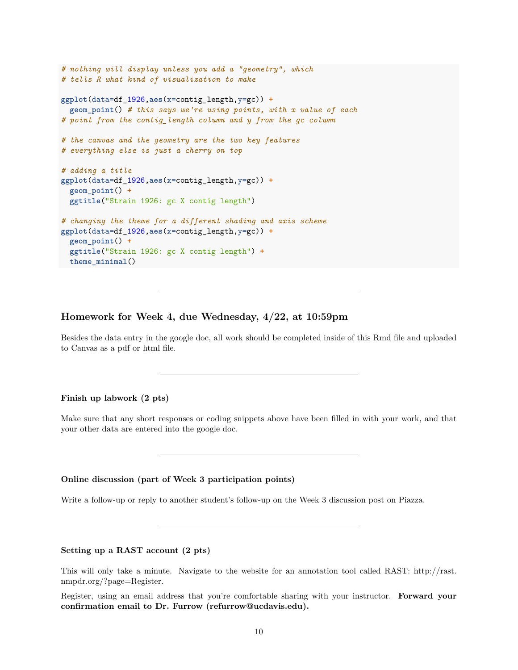```
# nothing will display unless you add a "geometry", which
# tells R what kind of visualization to make
ggplot(data=df_1926,aes(x=contig_length,y=gc)) +
  geom_point() # this says we're using points, with x value of each
# point from the contig_length column and y from the gc column
# the canvas and the geometry are the two key features
# everything else is just a cherry on top
# adding a title
ggplot(data=df_1926,aes(x=contig_length,y=gc)) +
  geom_point() +
  ggtitle("Strain 1926: gc X contig length")
# changing the theme for a different shading and axis scheme
ggplot(data=df_1926,aes(x=contig_length,y=gc)) +
  geom_point() +
  ggtitle("Strain 1926: gc X contig length") +
 theme_minimal()
```
## **Homework for Week 4, due Wednesday, 4/22, at 10:59pm**

Besides the data entry in the google doc, all work should be completed inside of this Rmd file and uploaded to Canvas as a pdf or html file.

### **Finish up labwork (2 pts)**

Make sure that any short responses or coding snippets above have been filled in with your work, and that your other data are entered into the google doc.

#### **Online discussion (part of Week 3 participation points)**

Write a follow-up or reply to another student's follow-up on the Week 3 discussion post on Piazza.

#### **Setting up a RAST account (2 pts)**

This will only take a minute. Navigate to the website for an annotation tool called RAST: [http://rast.](http://rast.nmpdr.org/?page=Register) [nmpdr.org/?page=Register.](http://rast.nmpdr.org/?page=Register)

Register, using an email address that you're comfortable sharing with your instructor. **Forward your confirmation email to Dr. Furrow [\(refurrow@ucdavis.edu\)](mailto:refurrow@ucdavis.edu).**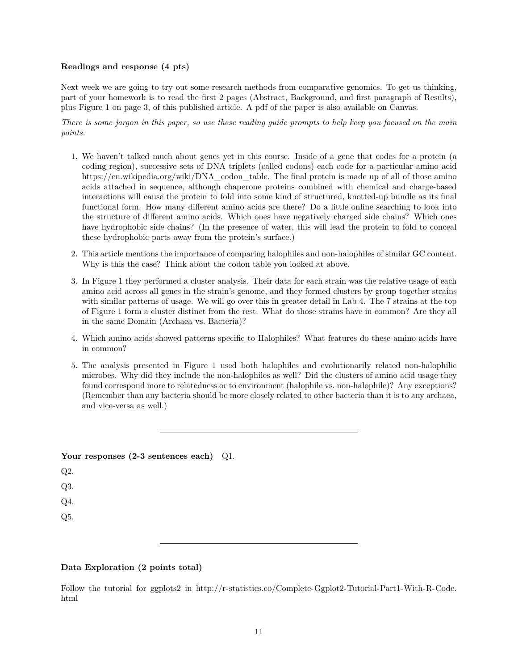## **Readings and response (4 pts)**

Next week we are going to try out some research methods from comparative genomics. To get us thinking, part of your homework is to read the first 2 pages (Abstract, Background, and first paragraph of Results), plus Figure 1 on page 3, of [this published article.](https://genomebiology.biomedcentral.com/articles/10.1186/gb-2008-9-4-r70) A pdf of the paper is also available on Canvas.

*There is some jargon in this paper, so use these reading guide prompts to help keep you focused on the main points.*

- 1. We haven't talked much about genes yet in this course. Inside of a gene that codes for a protein (a coding region), successive sets of DNA triplets (called codons) each code for a particular amino acid [https://en.wikipedia.org/wiki/DNA\\_codon\\_table.](https://en.wikipedia.org/wiki/DNA_codon_table) The final protein is made up of all of those amino acids attached in sequence, although chaperone proteins combined with chemical and charge-based interactions will cause the protein to fold into some kind of structured, knotted-up bundle as its final functional form. How many different amino acids are there? Do a little online searching to look into the structure of different amino acids. Which ones have negatively charged side chains? Which ones have hydrophobic side chains? (In the presence of water, this will lead the protein to fold to conceal these hydrophobic parts away from the protein's surface.)
- 2. This article mentions the importance of comparing halophiles and non-halophiles of similar GC content. Why is this the case? Think about the codon table you looked at above.
- 3. In Figure 1 they performed a cluster analysis. Their data for each strain was the relative usage of each amino acid across all genes in the strain's genome, and they formed clusters by group together strains with similar patterns of usage. We will go over this in greater detail in Lab 4. The 7 strains at the top of Figure 1 form a cluster distinct from the rest. What do those strains have in common? Are they all in the same Domain (Archaea vs. Bacteria)?
- 4. Which amino acids showed patterns specific to Halophiles? What features do these amino acids have in common?
- 5. The analysis presented in Figure 1 used both halophiles and evolutionarily related non-halophilic microbes. Why did they include the non-halophiles as well? Did the clusters of amino acid usage they found correspond more to relatedness or to environment (halophile vs. non-halophile)? Any exceptions? (Remember than any bacteria should be more closely related to other bacteria than it is to any archaea, and vice-versa as well.)

| Your responses $(2-3$ sentences each) $Q1$ . |  |
|----------------------------------------------|--|
| Q2.                                          |  |
| Q3.                                          |  |
| Q4.                                          |  |
| Q5.                                          |  |
|                                              |  |

# **Data Exploration (2 points total)**

Follow the tutorial for ggplots2 in [http://r-statistics.co/Complete-Ggplot2-Tutorial-Part1-With-R-Code.](http://r-statistics.co/Complete-Ggplot2-Tutorial-Part1-With-R-Code.html) [html](http://r-statistics.co/Complete-Ggplot2-Tutorial-Part1-With-R-Code.html)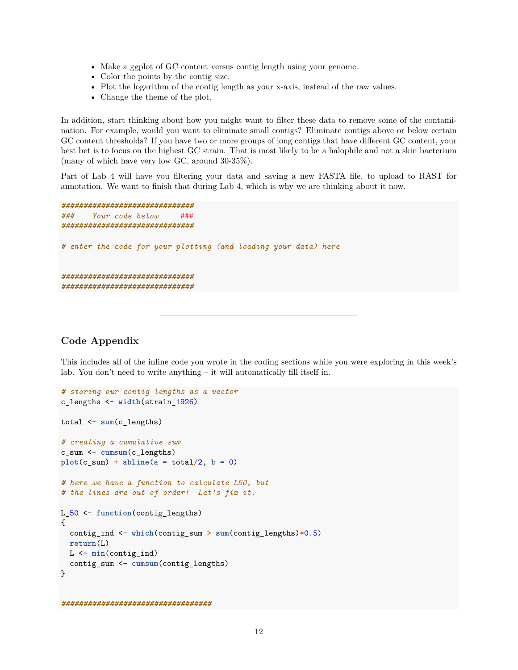- Make a ggplot of GC content versus contig length using your genome.
- Color the points by the contig size.
- Plot the logarithm of the contig length as your x-axis, instead of the raw values.
- Change the theme of the plot.

In addition, start thinking about how you might want to filter these data to remove some of the contamination. For example, would you want to eliminate small contigs? Eliminate contigs above or below certain GC content thresholds? If you have two or more groups of long contigs that have different GC content, your best bet is to focus on the highest GC strain. That is most likely to be a halophile and not a skin bacterium (many of which have very low GC, around 30-35%).

Part of Lab 4 will have you filtering your data and saving a new FASTA file, to upload to RAST for annotation. We want to finish that during Lab 4, which is why we are thinking about it now.

```
##############################
### Your code below ###
##############################
# enter the code for your plotting (and loading your data) here
##############################
##############################
```
# **Code Appendix**

This includes all of the inline code you wrote in the coding sections while you were exploring in this week's lab. You don't need to write anything – it will automatically fill itself in.

```
# storing our contig lengths as a vector
c_lengths <- width(strain_1926)
total <- sum(c_lengths)
# creating a cumulative sum
c_sum <- cumsum(c_lengths)
plot(c_sum) + abline(a = total/2, b = 0)# here we have a function to calculate L50, but
# the lines are out of order! Let's fix it.
L_50 <- function(contig_lengths)
{
  contig_ind <- which(contig_sum > sum(contig_lengths)*0.5)
  return(L)
 L <- min(contig_ind)
  contig_sum <- cumsum(contig_lengths)
}
##################################
```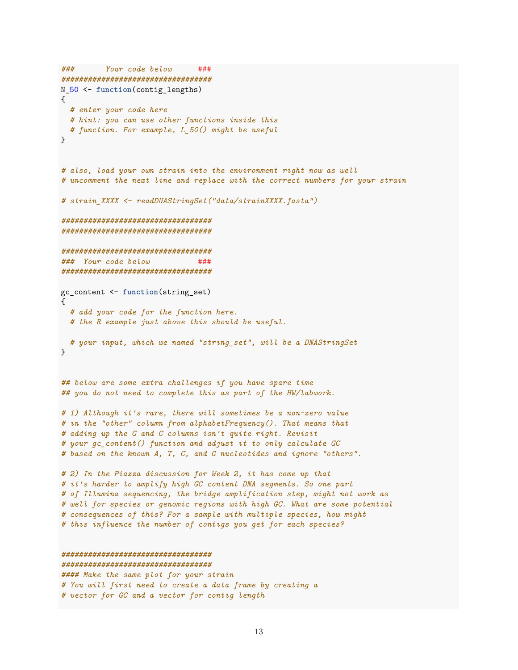```
### Your code below ###
##################################
N_50 <- function(contig_lengths)
{
 # enter your code here
 # hint: you can use other functions inside this
 # function. For example, L_50() might be useful
}
# also, load your own strain into the environment right now as well
# uncomment the next line and replace with the correct numbers for your strain
# strain_XXXX <- readDNAStringSet("data/strainXXXX.fasta")
##################################
##################################
##################################
### Your code below ###
##################################
gc_content <- function(string_set)
{
  # add your code for the function here.
 # the R example just above this should be useful.
  # your input, which we named "string_set", will be a DNAStringSet
}
## below are some extra challenges if you have spare time
## you do not need to complete this as part of the HW/labwork.
# 1) Although it's rare, there will sometimes be a non-zero value
# in the "other" column from alphabetFrequency(). That means that
# adding up the G and C columns isn't quite right. Revisit
# your gc_content() function and adjust it to only calculate GC
# based on the known A, T, C, and G nucleotides and ignore "others".
# 2) In the Piazza discussion for Week 2, it has come up that
# it's harder to amplify high GC content DNA segments. So one part
# of Illumina sequencing, the bridge amplification step, might not work as
# well for species or genomic regions with high GC. What are some potential
# consequences of this? For a sample with multiple species, how might
# this influence the number of contigs you get for each species?
##################################
##################################
#### Make the same plot for your strain
# You will first need to create a data frame by creating a
```
*# vector for GC and a vector for contig length*